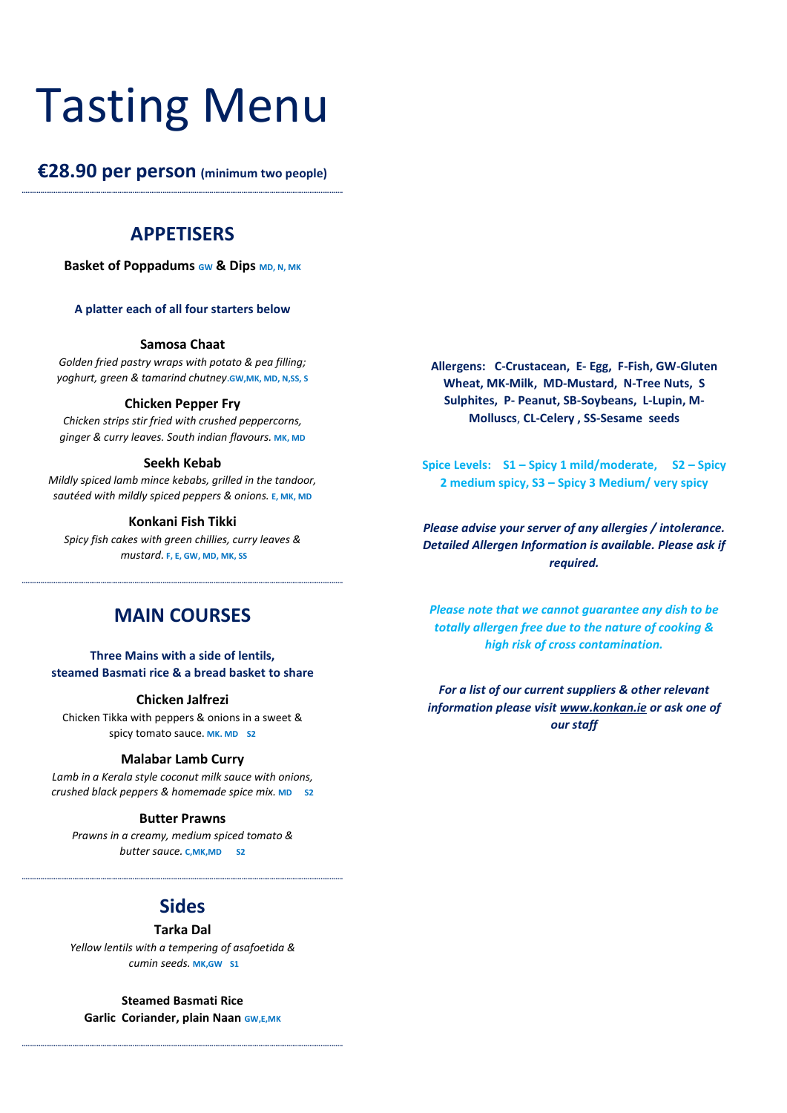## Tasting Menu

**€28.90 per person (minimum two people) ………………………………………………………………………………………………………………………………………………………**

## **APPETISERS**

**Basket of Poppadums <b>GW** & Dips MD, N, MK

#### **A platter each of all four starters below**

#### **Samosa Chaat**

*Golden fried pastry wraps with potato & pea filling; yoghurt, green & tamarind chutney***.GW,MK, MD, N,SS, S**

#### **Chicken Pepper Fry**

*Chicken strips stir fried with crushed peppercorns, ginger & curry leaves. South indian flavours.* **MK, MD**

#### **Seekh Kebab**

*Mildly spiced lamb mince kebabs, grilled in the tandoor, sautéed with mildly spiced peppers & onions.* **E, MK, MD**

#### **Konkani Fish Tikki**

*Spicy fish cakes with green chillies, curry leaves & mustard.* **F, E, GW, MD, MK, SS**

## **MAIN COURSES**

**………………………………………………………………………………………………………………………………………………………**

**Three Mains with a side of lentils, steamed Basmati rice & a bread basket to share**

#### **Chicken Jalfrezi**

Chicken Tikka with peppers & onions in a sweet & spicy tomato sauce. **MK. MD S2**

#### **Malabar Lamb Curry**

*Lamb in a Kerala style coconut milk sauce with onions, crushed black peppers & homemade spice mix.* **MD S2**

#### **Butter Prawns**

*Prawns in a creamy, medium spiced tomato & butter sauce.* **C,MK,MD S2**

## **Sides**

**………………………………………………………………………………………………………………………………………………………**

#### **Tarka Dal**

*Yellow lentils with a tempering of asafoetida & cumin seeds.* **MK,GW S1**

**Steamed Basmati Rice Garlic Coriander, plain Naan GW,E,MK**

**………………………………………………………………………………………………………………………………………………………**

**Allergens: C-Crustacean, E- Egg, F-Fish, GW-Gluten Wheat, MK-Milk, MD-Mustard, N-Tree Nuts, S Sulphites, P- Peanut, SB-Soybeans, L-Lupin, M-Molluscs**, **CL-Celery , SS-Sesame seeds**

**Spice Levels: S1 – Spicy 1 mild/moderate, S2 – Spicy 2 medium spicy, S3 – Spicy 3 Medium/ very spicy**

*Please advise your server of any allergies / intolerance. Detailed Allergen Information is available. Please ask if required.*

*Please note that we cannot guarantee any dish to be totally allergen free due to the nature of cooking & high risk of cross contamination.*

*For a list of our current suppliers & other relevant information please visi[t www.konkan.ie](http://www.konkan.ie/) or ask one of our staff*